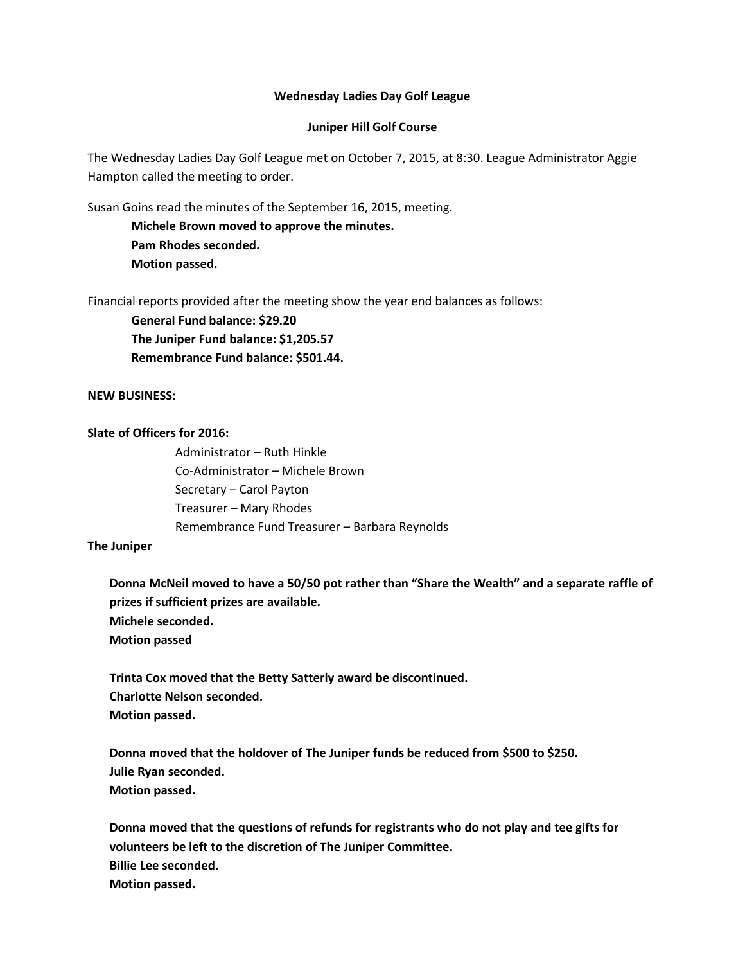#### **Wednesday Ladies Day Golf League**

# **Juniper Hill Golf Course**

The Wednesday Ladies Day Golf League met on October 7, 2015, at 8:30. League Administrator Aggie Hampton called the meeting to order.

Susan Goins read the minutes of the September 16, 2015, meeting.

**Michele Brown moved to approve the minutes. Pam Rhodes seconded. Motion passed.** 

Financial reports provided after the meeting show the year end balances as follows:

**General Fund balance: \$29.20 The Juniper Fund balance: \$1,205.57 Remembrance Fund balance: \$501.44.** 

# **NEW BUSINESS:**

# **Slate of Officers for 2016:**

Administrator – Ruth Hinkle Co-Administrator – Michele Brown Secretary – Carol Payton Treasurer – Mary Rhodes Remembrance Fund Treasurer – Barbara Reynolds

#### **The Juniper**

**Donna McNeil moved to have a 50/50 pot rather than "Share the Wealth" and a separate raffle of prizes if sufficient prizes are available. Michele seconded. Motion passed**

**Trinta Cox moved that the Betty Satterly award be discontinued. Charlotte Nelson seconded. Motion passed.** 

**Donna moved that the holdover of The Juniper funds be reduced from \$500 to \$250. Julie Ryan seconded. Motion passed.**

**Donna moved that the questions of refunds for registrants who do not play and tee gifts for volunteers be left to the discretion of The Juniper Committee. Billie Lee seconded. Motion passed.**